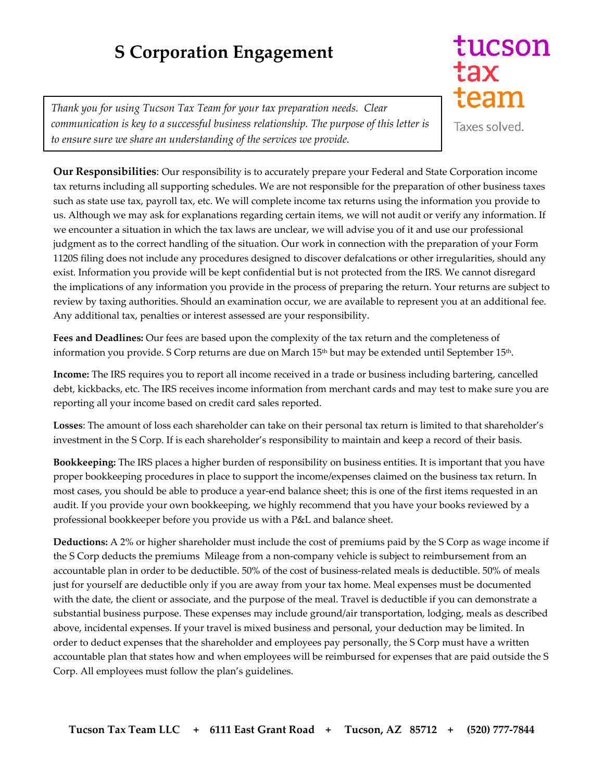## **S Corporation Engagement**

*Thank you for using Tucson Tax Team for your tax preparation needs. Clear communication is key to a successful business relationship. The purpose of this letter is to ensure sure we share an understanding of the services we provide.* 

tucson tax team

Taxes solved.

**Our Responsibilities**: Our responsibility is to accurately prepare your Federal and State Corporation income tax returns including all supporting schedules. We are not responsible for the preparation of other business taxes such as state use tax, payroll tax, etc. We will complete income tax returns using the information you provide to us. Although we may ask for explanations regarding certain items, we will not audit or verify any information. If we encounter a situation in which the tax laws are unclear, we will advise you of it and use our professional judgment as to the correct handling of the situation. Our work in connection with the preparation of your Form 1120S filing does not include any procedures designed to discover defalcations or other irregularities, should any exist. Information you provide will be kept confidential but is not protected from the IRS. We cannot disregard the implications of any information you provide in the process of preparing the return. Your returns are subject to review by taxing authorities. Should an examination occur, we are available to represent you at an additional fee. Any additional tax, penalties or interest assessed are your responsibility.

**Fees and Deadlines:** Our fees are based upon the complexity of the tax return and the completeness of information you provide. S Corp returns are due on March 15<sup>th</sup> but may be extended until September 15<sup>th</sup>.

**Income:** The IRS requires you to report all income received in a trade or business including bartering, cancelled debt, kickbacks, etc. The IRS receives income information from merchant cards and may test to make sure you are reporting all your income based on credit card sales reported.

**Losses**: The amount of loss each shareholder can take on their personal tax return is limited to that shareholder's investment in the S Corp. If is each shareholder's responsibility to maintain and keep a record of their basis.

**Bookkeeping:** The IRS places a higher burden of responsibility on business entities. It is important that you have proper bookkeeping procedures in place to support the income/expenses claimed on the business tax return. In most cases, you should be able to produce a year-end balance sheet; this is one of the first items requested in an audit. If you provide your own bookkeeping, we highly recommend that you have your books reviewed by a professional bookkeeper before you provide us with a P&L and balance sheet.

**Deductions:** A 2% or higher shareholder must include the cost of premiums paid by the S Corp as wage income if the S Corp deducts the premiums Mileage from a non-company vehicle is subject to reimbursement from an accountable plan in order to be deductible. 50% of the cost of business-related meals is deductible. 50% of meals just for yourself are deductible only if you are away from your tax home. Meal expenses must be documented with the date, the client or associate, and the purpose of the meal. Travel is deductible if you can demonstrate a substantial business purpose. These expenses may include ground/air transportation, lodging, meals as described above, incidental expenses. If your travel is mixed business and personal, your deduction may be limited. In order to deduct expenses that the shareholder and employees pay personally, the S Corp must have a written accountable plan that states how and when employees will be reimbursed for expenses that are paid outside the S Corp. All employees must follow the plan's guidelines.